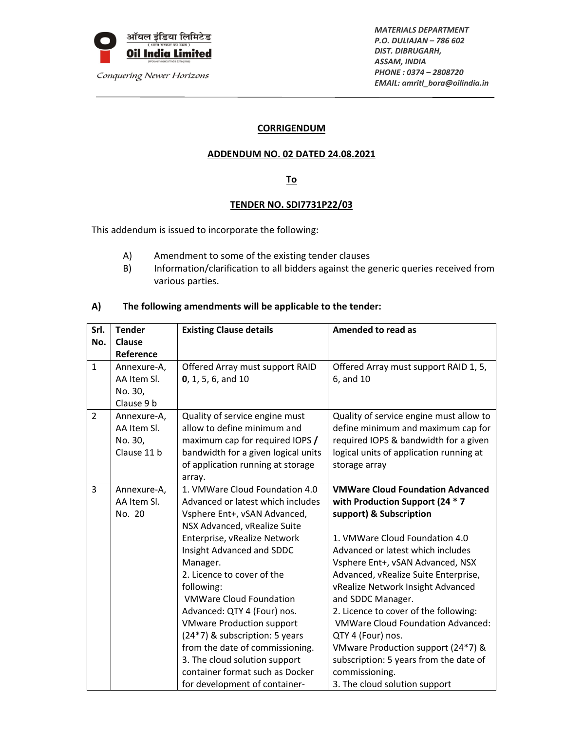

Conquering Newer Horizons

*MATERIALS DEPARTMENT P.O. DULIAJAN – 786 602 DIST. DIBRUGARH, ASSAM, INDIA PHONE : 0374 – 2808720 EMAIL: amritl\_bora@oilindia.in*

### **CORRIGENDUM**

### **ADDENDUM NO. 02 DATED 24.08.2021**

# **To**

# **TENDER NO. SDI7731P22/03**

This addendum is issued to incorporate the following:

- A) Amendment to some of the existing tender clauses
- B) Information/clarification to all bidders against the generic queries received from various parties.

# **A) The following amendments will be applicable to the tender:**

| Srl.           | <b>Tender</b> | <b>Existing Clause details</b>      | <b>Amended to read as</b>                |
|----------------|---------------|-------------------------------------|------------------------------------------|
| No.            | Clause        |                                     |                                          |
|                | Reference     |                                     |                                          |
| $\mathbf{1}$   | Annexure-A,   | Offered Array must support RAID     | Offered Array must support RAID 1, 5,    |
|                | AA Item SI.   | 0, 1, 5, 6, and 10                  | 6, and 10                                |
|                | No. 30,       |                                     |                                          |
|                | Clause 9 b    |                                     |                                          |
| $\overline{2}$ | Annexure-A,   | Quality of service engine must      | Quality of service engine must allow to  |
|                | AA Item SI.   | allow to define minimum and         | define minimum and maximum cap for       |
|                | No. 30,       | maximum cap for required IOPS /     | required IOPS & bandwidth for a given    |
|                | Clause 11 b   | bandwidth for a given logical units | logical units of application running at  |
|                |               | of application running at storage   | storage array                            |
|                |               | array.                              |                                          |
| 3              | Annexure-A,   | 1. VMWare Cloud Foundation 4.0      | <b>VMWare Cloud Foundation Advanced</b>  |
|                | AA Item SI.   | Advanced or latest which includes   | with Production Support (24 * 7          |
|                | No. 20        | Vsphere Ent+, vSAN Advanced,        | support) & Subscription                  |
|                |               | NSX Advanced, vRealize Suite        |                                          |
|                |               | Enterprise, vRealize Network        | 1. VMWare Cloud Foundation 4.0           |
|                |               | Insight Advanced and SDDC           | Advanced or latest which includes        |
|                |               | Manager.                            | Vsphere Ent+, vSAN Advanced, NSX         |
|                |               | 2. Licence to cover of the          | Advanced, vRealize Suite Enterprise,     |
|                |               | following:                          | vRealize Network Insight Advanced        |
|                |               | <b>VMWare Cloud Foundation</b>      | and SDDC Manager.                        |
|                |               | Advanced: QTY 4 (Four) nos.         | 2. Licence to cover of the following:    |
|                |               | <b>VMware Production support</b>    | <b>VMWare Cloud Foundation Advanced:</b> |
|                |               | (24*7) & subscription: 5 years      | QTY 4 (Four) nos.                        |
|                |               | from the date of commissioning.     | VMware Production support (24*7) &       |
|                |               | 3. The cloud solution support       | subscription: 5 years from the date of   |
|                |               | container format such as Docker     | commissioning.                           |
|                |               | for development of container-       | 3. The cloud solution support            |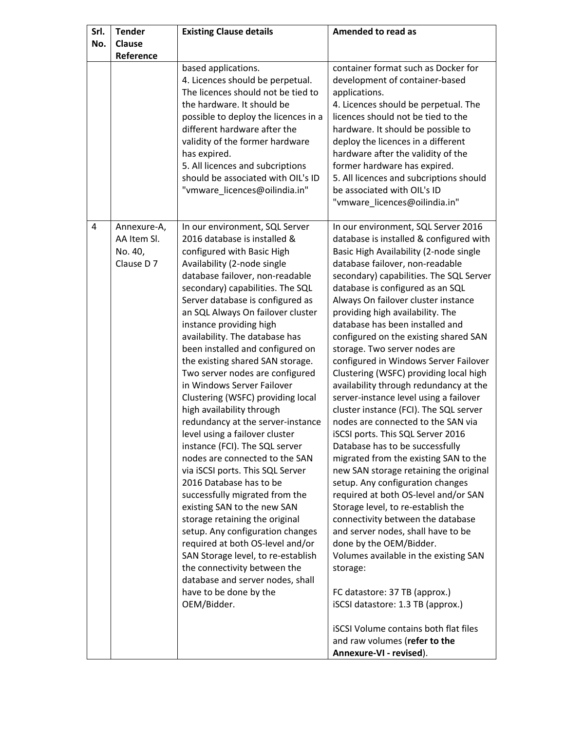| Srl. | <b>Tender</b>                                       | <b>Existing Clause details</b>                                                                                                                                                                                                                                                                                                                                                                                                                                                                                                                                                                                                                                                                                                                                                                                                                                                                                                                                                                                                                                                              | <b>Amended to read as</b>                                                                                                                                                                                                                                                                                                                                                                                                                                                                                                                                                                                                                                                                                                                                                                                                                                                                                                                                                                                                                                                                                                                                                                                                                                                                                           |  |
|------|-----------------------------------------------------|---------------------------------------------------------------------------------------------------------------------------------------------------------------------------------------------------------------------------------------------------------------------------------------------------------------------------------------------------------------------------------------------------------------------------------------------------------------------------------------------------------------------------------------------------------------------------------------------------------------------------------------------------------------------------------------------------------------------------------------------------------------------------------------------------------------------------------------------------------------------------------------------------------------------------------------------------------------------------------------------------------------------------------------------------------------------------------------------|---------------------------------------------------------------------------------------------------------------------------------------------------------------------------------------------------------------------------------------------------------------------------------------------------------------------------------------------------------------------------------------------------------------------------------------------------------------------------------------------------------------------------------------------------------------------------------------------------------------------------------------------------------------------------------------------------------------------------------------------------------------------------------------------------------------------------------------------------------------------------------------------------------------------------------------------------------------------------------------------------------------------------------------------------------------------------------------------------------------------------------------------------------------------------------------------------------------------------------------------------------------------------------------------------------------------|--|
| No.  | <b>Clause</b>                                       |                                                                                                                                                                                                                                                                                                                                                                                                                                                                                                                                                                                                                                                                                                                                                                                                                                                                                                                                                                                                                                                                                             |                                                                                                                                                                                                                                                                                                                                                                                                                                                                                                                                                                                                                                                                                                                                                                                                                                                                                                                                                                                                                                                                                                                                                                                                                                                                                                                     |  |
|      | Reference                                           |                                                                                                                                                                                                                                                                                                                                                                                                                                                                                                                                                                                                                                                                                                                                                                                                                                                                                                                                                                                                                                                                                             |                                                                                                                                                                                                                                                                                                                                                                                                                                                                                                                                                                                                                                                                                                                                                                                                                                                                                                                                                                                                                                                                                                                                                                                                                                                                                                                     |  |
|      |                                                     | based applications.<br>4. Licences should be perpetual.<br>The licences should not be tied to<br>the hardware. It should be<br>possible to deploy the licences in a<br>different hardware after the<br>validity of the former hardware<br>has expired.<br>5. All licences and subcriptions<br>should be associated with OIL's ID<br>"vmware_licences@oilindia.in"                                                                                                                                                                                                                                                                                                                                                                                                                                                                                                                                                                                                                                                                                                                           | container format such as Docker for<br>development of container-based<br>applications.<br>4. Licences should be perpetual. The<br>licences should not be tied to the<br>hardware. It should be possible to<br>deploy the licences in a different<br>hardware after the validity of the<br>former hardware has expired.<br>5. All licences and subcriptions should<br>be associated with OIL's ID<br>"vmware_licences@oilindia.in"                                                                                                                                                                                                                                                                                                                                                                                                                                                                                                                                                                                                                                                                                                                                                                                                                                                                                   |  |
| 4    | Annexure-A,<br>AA Item SI.<br>No. 40,<br>Clause D 7 | In our environment, SQL Server<br>2016 database is installed &<br>configured with Basic High<br>Availability (2-node single<br>database failover, non-readable<br>secondary) capabilities. The SQL<br>Server database is configured as<br>an SQL Always On failover cluster<br>instance providing high<br>availability. The database has<br>been installed and configured on<br>the existing shared SAN storage.<br>Two server nodes are configured<br>in Windows Server Failover<br>Clustering (WSFC) providing local<br>high availability through<br>redundancy at the server-instance<br>level using a failover cluster<br>instance (FCI). The SQL server<br>nodes are connected to the SAN<br>via iSCSI ports. This SQL Server<br>2016 Database has to be<br>successfully migrated from the<br>existing SAN to the new SAN<br>storage retaining the original<br>setup. Any configuration changes<br>required at both OS-level and/or<br>SAN Storage level, to re-establish<br>the connectivity between the<br>database and server nodes, shall<br>have to be done by the<br>OEM/Bidder. | In our environment, SQL Server 2016<br>database is installed & configured with<br>Basic High Availability (2-node single<br>database failover, non-readable<br>secondary) capabilities. The SQL Server<br>database is configured as an SQL<br>Always On failover cluster instance<br>providing high availability. The<br>database has been installed and<br>configured on the existing shared SAN<br>storage. Two server nodes are<br>configured in Windows Server Failover<br>Clustering (WSFC) providing local high<br>availability through redundancy at the<br>server-instance level using a failover<br>cluster instance (FCI). The SQL server<br>nodes are connected to the SAN via<br>iSCSI ports. This SQL Server 2016<br>Database has to be successfully<br>migrated from the existing SAN to the<br>new SAN storage retaining the original<br>setup. Any configuration changes<br>required at both OS-level and/or SAN<br>Storage level, to re-establish the<br>connectivity between the database<br>and server nodes, shall have to be<br>done by the OEM/Bidder.<br>Volumes available in the existing SAN<br>storage:<br>FC datastore: 37 TB (approx.)<br>iSCSI datastore: 1.3 TB (approx.)<br><b>iSCSI Volume contains both flat files</b><br>and raw volumes (refer to the<br>Annexure-VI - revised). |  |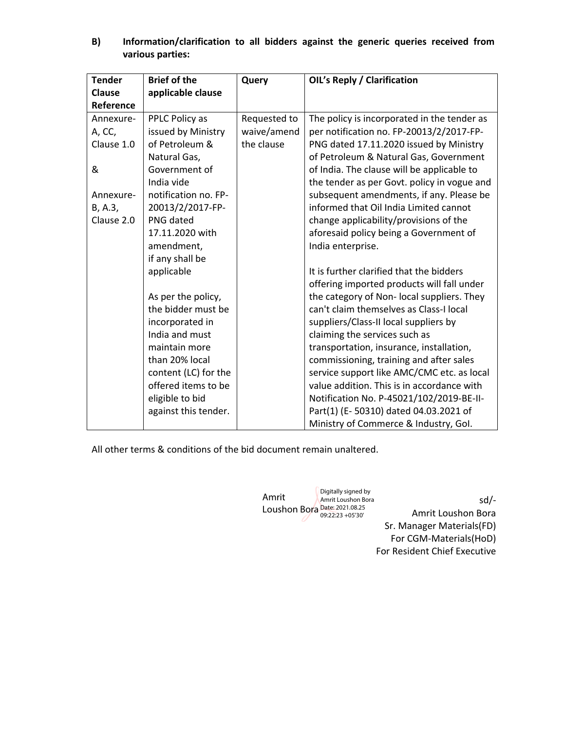**B) Information/clarification to all bidders against the generic queries received from various parties:**

| <b>Tender</b> | <b>Brief of the</b>  | Query        | <b>OIL's Reply / Clarification</b>          |
|---------------|----------------------|--------------|---------------------------------------------|
| <b>Clause</b> | applicable clause    |              |                                             |
| Reference     |                      |              |                                             |
| Annexure-     | PPLC Policy as       | Requested to | The policy is incorporated in the tender as |
| A, CC,        | issued by Ministry   | waive/amend  | per notification no. FP-20013/2/2017-FP-    |
| Clause 1.0    | of Petroleum &       | the clause   | PNG dated 17.11.2020 issued by Ministry     |
|               | Natural Gas,         |              | of Petroleum & Natural Gas, Government      |
| &             | Government of        |              | of India. The clause will be applicable to  |
|               | India vide           |              | the tender as per Govt. policy in vogue and |
| Annexure-     | notification no. FP- |              | subsequent amendments, if any. Please be    |
| B, A.3,       | 20013/2/2017-FP-     |              | informed that Oil India Limited cannot      |
| Clause 2.0    | PNG dated            |              | change applicability/provisions of the      |
|               | 17.11.2020 with      |              | aforesaid policy being a Government of      |
|               | amendment,           |              | India enterprise.                           |
|               | if any shall be      |              |                                             |
|               | applicable           |              | It is further clarified that the bidders    |
|               |                      |              | offering imported products will fall under  |
|               | As per the policy,   |              | the category of Non-local suppliers. They   |
|               | the bidder must be   |              | can't claim themselves as Class-I local     |
|               | incorporated in      |              | suppliers/Class-II local suppliers by       |
|               | India and must       |              | claiming the services such as               |
|               | maintain more        |              | transportation, insurance, installation,    |
|               | than 20% local       |              | commissioning, training and after sales     |
|               | content (LC) for the |              | service support like AMC/CMC etc. as local  |
|               | offered items to be  |              | value addition. This is in accordance with  |
|               | eligible to bid      |              | Notification No. P-45021/102/2019-BE-II-    |
|               | against this tender. |              | Part(1) (E-50310) dated 04.03.2021 of       |
|               |                      |              | Ministry of Commerce & Industry, Gol.       |

All other terms & conditions of the bid document remain unaltered.

| Amrit                         | Digitally signed by<br>Amrit Loushon Bora |                   |
|-------------------------------|-------------------------------------------|-------------------|
| Loushon Bora Date: 2021.08.25 | 09:22:23 +05'30'                          | Amrit Loush       |
|                               |                                           | Sr. Manager Mater |

on Bora  $r$ ials(FD) For CGM‐Materials(HoD) For Resident Chief Executive

sd/‐